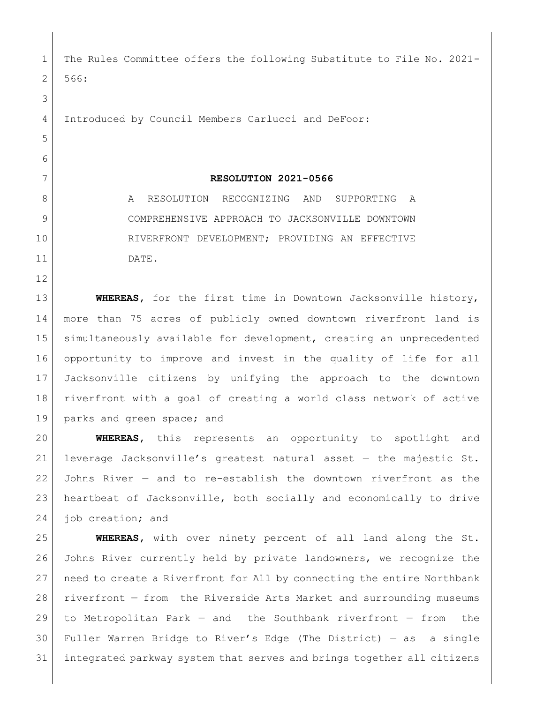| 1            | The Rules Committee offers the following Substitute to File No. 2021-  |
|--------------|------------------------------------------------------------------------|
| $\mathbf{2}$ | 566:                                                                   |
| 3            |                                                                        |
| 4            | Introduced by Council Members Carlucci and DeFoor:                     |
| 5            |                                                                        |
| 6            |                                                                        |
| 7            | RESOLUTION 2021-0566                                                   |
| 8            | RESOLUTION RECOGNIZING AND<br>SUPPORTING<br>A<br>A                     |
| 9            | COMPREHENSIVE APPROACH TO JACKSONVILLE DOWNTOWN                        |
| 10           | RIVERFRONT DEVELOPMENT; PROVIDING AN EFFECTIVE                         |
| 11           | DATE.                                                                  |
| 12           |                                                                        |
| 13           | WHEREAS, for the first time in Downtown Jacksonville history,          |
| 14           | more than 75 acres of publicly owned downtown riverfront land is       |
| 15           | simultaneously available for development, creating an unprecedented    |
| 16           | opportunity to improve and invest in the quality of life for all       |
| 17           | Jacksonville citizens by unifying the approach to the downtown         |
| 18           | riverfront with a goal of creating a world class network of active     |
| 19           | parks and green space; and                                             |
| 20           | <b>WHEREAS</b> , this represents an opportunity to spotlight<br>and    |
| 21           | leverage Jacksonville's greatest natural asset - the majestic St.      |
| 22           | Johns River - and to re-establish the downtown riverfront as the       |
| 23           | heartbeat of Jacksonville, both socially and economically to drive     |
| 24           | job creation; and                                                      |
| 25           | WHEREAS, with over ninety percent of all land along the St.            |
| 26           | Johns River currently held by private landowners, we recognize the     |
| 27           | need to create a Riverfront for All by connecting the entire Northbank |
| 28           | riverfront - from the Riverside Arts Market and surrounding museums    |
| 29           | to Metropolitan Park - and the Southbank riverfront - from<br>the      |
| 30           | Fuller Warren Bridge to River's Edge (The District) - as a single      |
| 31           | integrated parkway system that serves and brings together all citizens |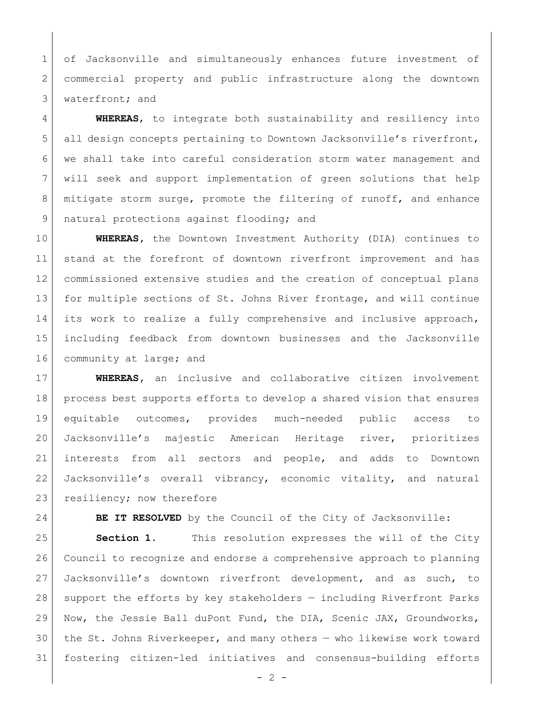of Jacksonville and simultaneously enhances future investment of commercial property and public infrastructure along the downtown 3 waterfront; and

 **WHEREAS**, to integrate both sustainability and resiliency into all design concepts pertaining to Downtown Jacksonville's riverfront, we shall take into careful consideration storm water management and will seek and support implementation of green solutions that help 8 | mitigate storm surge, promote the filtering of runoff, and enhance 9 | natural protections against flooding; and

 **WHEREAS,** the Downtown Investment Authority (DIA) continues to stand at the forefront of downtown riverfront improvement and has commissioned extensive studies and the creation of conceptual plans 13 for multiple sections of St. Johns River frontage, and will continue 14 its work to realize a fully comprehensive and inclusive approach, including feedback from downtown businesses and the Jacksonville 16 community at large; and

 **WHEREAS,** an inclusive and collaborative citizen involvement process best supports efforts to develop a shared vision that ensures equitable outcomes, provides much-needed public access to Jacksonville's majestic American Heritage river, prioritizes interests from all sectors and people, and adds to Downtown Jacksonville's overall vibrancy, economic vitality, and natural 23 resiliency; now therefore

**BE IT RESOLVED** by the Council of the City of Jacksonville:

 **Section 1.** This resolution expresses the will of the City Council to recognize and endorse a comprehensive approach to planning Jacksonville's downtown riverfront development, and as such, to support the efforts by key stakeholders — including Riverfront Parks Now, the Jessie Ball duPont Fund, the DIA, Scenic JAX, Groundworks, the St. Johns Riverkeeper, and many others — who likewise work toward fostering citizen-led initiatives and consensus-building efforts

 $-2 -$